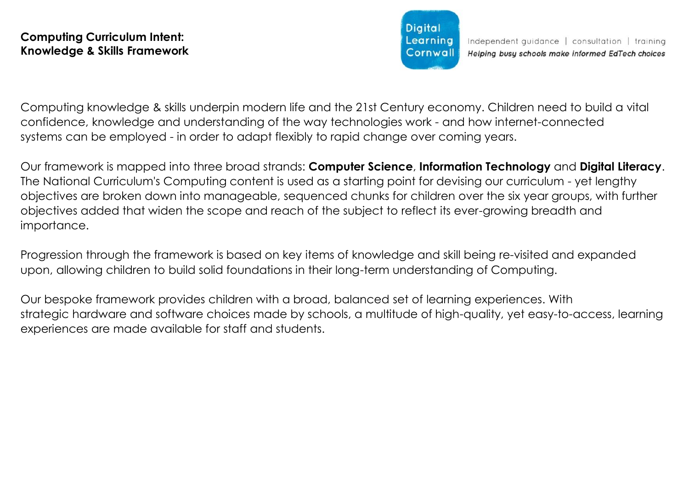**Diaital** Learning Cornwall

Computing knowledge & skills underpin modern life and the 21st Century economy. Children need to build a vital confidence, knowledge and understanding of the way technologies work - and how internet-connected systems can be employed - in order to adapt flexibly to rapid change over coming years.

Our framework is mapped into three broad strands: **Computer Science**, **Information Technology** and **Digital Literacy**. The National Curriculum's Computing content is used as a starting point for devising our curriculum - yet lengthy objectives are broken down into manageable, sequenced chunks for children over the six year groups, with further objectives added that widen the scope and reach of the subject to reflect its ever-growing breadth and importance.

Progression through the framework is based on key items of knowledge and skill being re-visited and expanded upon, allowing children to build solid foundations in their long-term understanding of Computing.

Our bespoke framework provides children with a broad, balanced set of learning experiences. With strategic hardware and software choices made by schools, a multitude of high-quality, yet easy-to-access, learning experiences are made available for staff and students.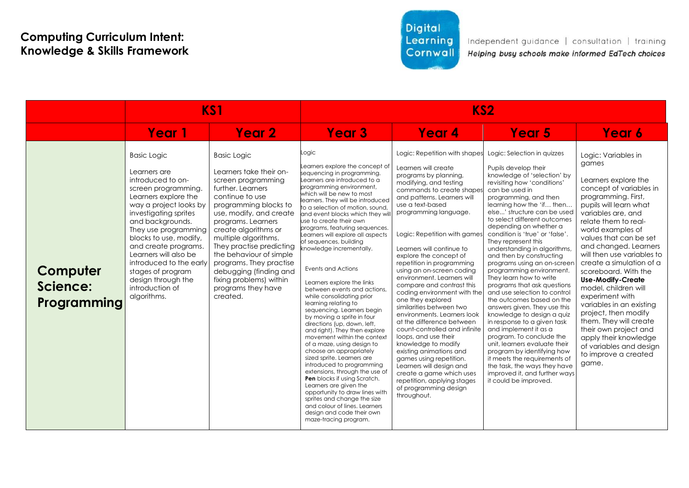## Digital Learning Cornwall

|                                     | KS1                                                                                                                                                                                                                                                                                                                                                                                      |                                                                                                                                                                                                                                                                                                                                                                                                                | KS <sub>2</sub>                                                                                                                                                                                                                                                                                                                                                                                                                                                                                                                                                                                                                                                                                                                                                                                                                                                                                                                                                                                                                                                                                                      |                                                                                                                                                                                                                                                                                                                                                                                                                                                                                                                                                                                                                                                                                                                                                                                                                                                |                                                                                                                                                                                                                                                                                                                                                                                                                                                                                                                                                                                                                                                                                                                                                                                                                                                                                                                                       |                                                                                                                                                                                                                                                                                                                                                                                                                                                                                                                                                                                                             |
|-------------------------------------|------------------------------------------------------------------------------------------------------------------------------------------------------------------------------------------------------------------------------------------------------------------------------------------------------------------------------------------------------------------------------------------|----------------------------------------------------------------------------------------------------------------------------------------------------------------------------------------------------------------------------------------------------------------------------------------------------------------------------------------------------------------------------------------------------------------|----------------------------------------------------------------------------------------------------------------------------------------------------------------------------------------------------------------------------------------------------------------------------------------------------------------------------------------------------------------------------------------------------------------------------------------------------------------------------------------------------------------------------------------------------------------------------------------------------------------------------------------------------------------------------------------------------------------------------------------------------------------------------------------------------------------------------------------------------------------------------------------------------------------------------------------------------------------------------------------------------------------------------------------------------------------------------------------------------------------------|------------------------------------------------------------------------------------------------------------------------------------------------------------------------------------------------------------------------------------------------------------------------------------------------------------------------------------------------------------------------------------------------------------------------------------------------------------------------------------------------------------------------------------------------------------------------------------------------------------------------------------------------------------------------------------------------------------------------------------------------------------------------------------------------------------------------------------------------|---------------------------------------------------------------------------------------------------------------------------------------------------------------------------------------------------------------------------------------------------------------------------------------------------------------------------------------------------------------------------------------------------------------------------------------------------------------------------------------------------------------------------------------------------------------------------------------------------------------------------------------------------------------------------------------------------------------------------------------------------------------------------------------------------------------------------------------------------------------------------------------------------------------------------------------|-------------------------------------------------------------------------------------------------------------------------------------------------------------------------------------------------------------------------------------------------------------------------------------------------------------------------------------------------------------------------------------------------------------------------------------------------------------------------------------------------------------------------------------------------------------------------------------------------------------|
|                                     | Year 1                                                                                                                                                                                                                                                                                                                                                                                   | Year 2                                                                                                                                                                                                                                                                                                                                                                                                         | <b>Year 3</b>                                                                                                                                                                                                                                                                                                                                                                                                                                                                                                                                                                                                                                                                                                                                                                                                                                                                                                                                                                                                                                                                                                        | Year 4                                                                                                                                                                                                                                                                                                                                                                                                                                                                                                                                                                                                                                                                                                                                                                                                                                         | Year 5                                                                                                                                                                                                                                                                                                                                                                                                                                                                                                                                                                                                                                                                                                                                                                                                                                                                                                                                | Year 6                                                                                                                                                                                                                                                                                                                                                                                                                                                                                                                                                                                                      |
| Computer<br>Science:<br>Programming | <b>Basic Logic</b><br>Learners are<br>introduced to on-<br>screen programming.<br>Learners explore the<br>way a project looks by<br>investigating sprites<br>and backgrounds.<br>They use programming<br>blocks to use, modify,<br>and create programs.<br>Learners will also be<br>introduced to the early<br>stages of program<br>design through the<br>introduction of<br>algorithms. | <b>Basic Logic</b><br>Learners take their on-<br>screen programming<br>further, Learners<br>continue to use<br>programming blocks to<br>use, modify, and create<br>programs. Learners<br>create algorithms or<br>multiple algorithms.<br>They practise predicting<br>the behaviour of simple<br>programs. They practise<br>debugging (finding and<br>fixing problems) within<br>programs they have<br>created. | Logic<br>Learners explore the concept of<br>sequencing in programming.<br>Learners are introduced to a<br>programming environment,<br>which will be new to most<br>learners. They will be introduced<br>to a selection of motion, sound,<br>and event blocks which they wi<br>use to create their own<br>programs, featuring sequences.<br>Learners will explore all aspects<br>of sequences, building<br>knowledge incrementally.<br><b>Events and Actions</b><br>Learners explore the links<br>between events and actions.<br>while consolidating prior<br>learning relating to<br>sequencing. Learners begin<br>by moving a sprite in four<br>directions (up, down, left,<br>and right). They then explore<br>movement within the context<br>of a maze, using design to<br>choose an appropriately<br>sized sprite. Learners are<br>introduced to programming<br>extensions, through the use of<br>Pen blocks if using Scratch.<br>Learners are given the<br>opportunity to draw lines with<br>sprites and change the size<br>and colour of lines. Learners<br>desian and code their own<br>maze-tracing program. | Logic: Repetition with shapes<br>Learners will create<br>programs by planning,<br>modifying, and testing<br>commands to create shapes<br>and patterns. Learners will<br>use a text-based<br>programming language.<br>Logic: Repetition with games<br>Learners will continue to<br>explore the concept of<br>repetition in programming<br>using an on-screen coding<br>environment. Learners will<br>compare and contrast this<br>coding environment with the<br>one they explored<br>similarities between two<br>environments. Learners look<br>at the difference between<br>count-controlled and infinite<br>loops, and use their<br>knowledge to modify<br>existing animations and<br>games using repetition.<br>Learners will design and<br>create a game which uses<br>repetition, applying stages<br>of programming design<br>throughout. | Logic: Selection in quizzes<br>Pupils develop their<br>knowledge of 'selection' by<br>revisiting how 'conditions'<br>can be used in<br>programming, and then<br>learning how the 'if then<br>else' structure can be used<br>to select different outcomes<br>depending on whether a<br>condition is 'true' or 'false'.<br>They represent this<br>understanding in algorithms,<br>and then by constructing<br>programs using an on-screen<br>programming environment.<br>They learn how to write<br>programs that ask questions<br>and use selection to control<br>the outcomes based on the<br>answers given. They use this<br>knowledge to design a quiz<br>in response to a given task<br>and implement it as a<br>program. To conclude the<br>unit, learners evaluate their<br>program by identifying how<br>it meets the requirements of<br>the task, the ways they have<br>improved it, and further ways<br>it could be improved. | Logic: Variables in<br>games<br>Learners explore the<br>concept of variables in<br>programming. First,<br>pupils will learn what<br>variables are, and<br>relate them to real-<br>world examples of<br>values that can be set<br>and changed. Learners<br>will then use variables to<br>create a simulation of a<br>scoreboard. With the<br><b>Use-Modify-Create</b><br>model, children will<br>experiment with<br>variables in an existing<br>project, then modify<br>them. They will create<br>their own project and<br>apply their knowledge<br>of variables and design<br>to improve a created<br>game. |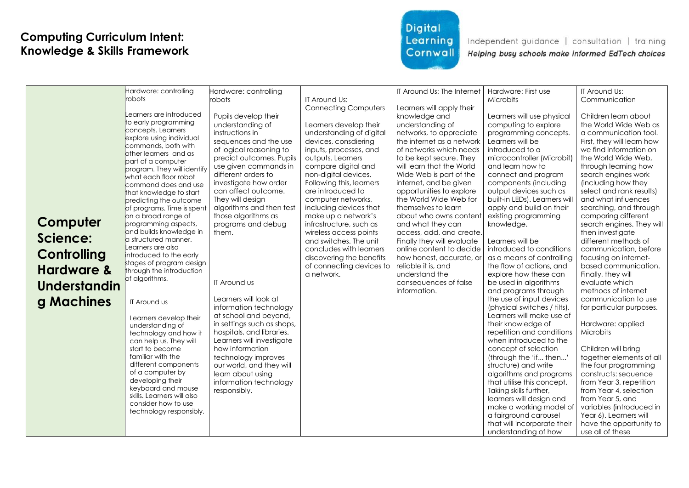# Digital<br>Learning **Cornwall**

|                       | Hardware: controlling                           | Hardware: controlling      |                                                  | IT Around Us: The Internet                             | Hardware: First use           | IT Around Us:                            |
|-----------------------|-------------------------------------------------|----------------------------|--------------------------------------------------|--------------------------------------------------------|-------------------------------|------------------------------------------|
|                       | robots                                          | robots                     | IT Around Us:                                    |                                                        | Microbits                     | Communication                            |
|                       |                                                 |                            | <b>Connecting Computers</b>                      | Learners will apply their                              |                               |                                          |
|                       | earners are introduced.                         | Pupils develop their       |                                                  | knowledge and                                          | Learners will use physical    | Children learn about                     |
|                       | to early programming                            | understanding of           | Learners develop their                           | understanding of                                       | computing to explore          | the World Wide Web as                    |
|                       | concepts. Learners                              | instructions in            | understanding of digital                         | networks, to appreciate                                | programming concepts.         | a communication tool.                    |
|                       | explore using individual<br>commands, both with | sequences and the use      | devices, consdiering                             | the internet as a network                              | Learners will be              | First, they will learn how               |
|                       | other learners and as                           | of logical reasoning to    | inputs, processes, and                           | of networks which needs                                | introduced to a               | we find information on                   |
|                       | part of a computer                              | predict outcomes. Pupils   | outputs. Learners                                | to be kept secure. They                                | microcontroller (Microbit)    | the World Wide Web,                      |
|                       | program. They will identify                     | use given commands in      | compare digital and                              | will learn that the World                              | and learn how to              | through learning how                     |
|                       | what each floor robot                           | different orders to        | non-digital devices.                             | Wide Web is part of the                                | connect and program           | search engines work                      |
|                       | command does and use                            | investigate how order      | Following this, learners                         | internet, and be given                                 | components (including         | (including how they                      |
|                       | that knowledge to start                         | can affect outcome.        | are introduced to                                | opportunities to explore                               | output devices such as        | select and rank results)                 |
|                       | predicting the outcome                          | They will design           | computer networks,                               | the World Wide Web for                                 | built-in LEDs). Learners will | and what influences                      |
|                       | of programs. Time is spent                      | algorithms and then test   | including devices that                           | themselves to learn                                    | apply and build on their      | searching, and through                   |
| Computer              | on a broad range of                             | those algorithms as        | make up a network's                              | about who owns content                                 | existing programming          | comparing different                      |
|                       | programming aspects,<br>and builds knowledge in | programs and debug         | infrastructure, such as                          | and what they can                                      | knowledge.                    | search engines. They will                |
| Science:              | a structured manner.                            | them.                      | wireless access points<br>and switches. The unit | access, add, and create.<br>Finally they will evaluate | Learners will be              | then investigate<br>different methods of |
|                       | Learners are also                               |                            | concludes with learners                          | online content to decide                               | introduced to conditions      | communication, before                    |
| Controlling           | introduced to the early                         |                            | discovering the benefits                         | how honest, accurate, or                               | as a means of controlling     | focusing on internet-                    |
|                       | stages of program design                        |                            | of connecting devices to                         | reliable it is, and                                    | the flow of actions, and      | based communication.                     |
| <b>Hardware &amp;</b> | through the introduction                        |                            | a network.                                       | understand the                                         | explore how these can         | Finally, they will                       |
|                       | of algorithms.                                  | <b>IT Around us</b>        |                                                  | consequences of false                                  | be used in algorithms         | evaluate which                           |
| <b>Understandin</b>   |                                                 |                            |                                                  | information.                                           | and programs through          | methods of internet                      |
|                       |                                                 | Learners will look at      |                                                  |                                                        | the use of input devices      | communication to use                     |
| g Machines            | IT Around us                                    | information technology     |                                                  |                                                        | (physical switches / tilts).  | for particular purposes.                 |
|                       | Learners develop their                          | at school and beyond,      |                                                  |                                                        | Learners will make use of     |                                          |
|                       | understanding of                                | in settings such as shops, |                                                  |                                                        | their knowledge of            | Hardware: applied                        |
|                       | technology and how it                           | hospitals, and libraries.  |                                                  |                                                        | repetition and conditions     | Microbits                                |
|                       | can help us. They will                          | Learners will investigate  |                                                  |                                                        | when introduced to the        |                                          |
|                       | start to become                                 | how information            |                                                  |                                                        | concept of selection          | Children will bring                      |
|                       | familiar with the                               | technology improves        |                                                  |                                                        | (through the 'if then'        | together elements of all                 |
|                       | different components                            | our world, and they will   |                                                  |                                                        | structure) and write          | the four programming                     |
|                       | of a computer by                                | learn about using          |                                                  |                                                        | algorithms and programs       | constructs: sequence                     |
|                       | developing their<br>keyboard and mouse          | information technology     |                                                  |                                                        | that utilise this concept.    | from Year 3, repetition                  |
|                       | skills. Learners will also                      | responsibly.               |                                                  |                                                        | Taking skills further,        | from Year 4, selection                   |
|                       | consider how to use                             |                            |                                                  |                                                        | learners will design and      | from Year 5, and                         |
|                       | technology responsibly.                         |                            |                                                  |                                                        | make a working model of       | variables (introduced in                 |
|                       |                                                 |                            |                                                  |                                                        | a fairground carousel         | Year 6). Learners will                   |
|                       |                                                 |                            |                                                  |                                                        | that will incorporate their   | have the opportunity to                  |
|                       |                                                 |                            |                                                  |                                                        | understanding of how          | use all of these                         |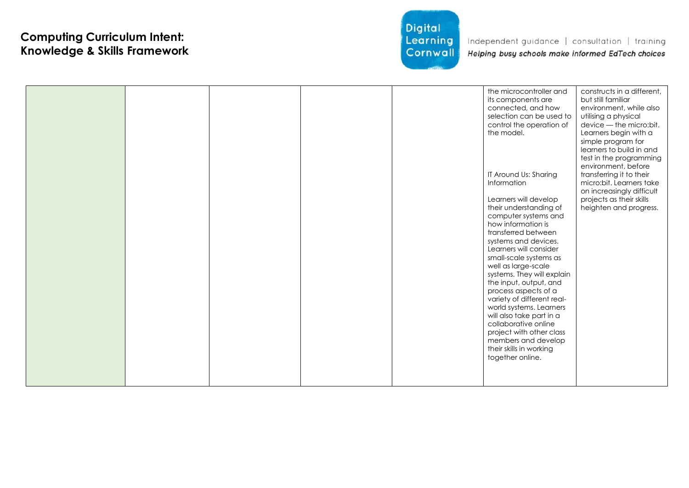

|  |  |  |  |  | the microcontroller and<br>its components are<br>connected, and how<br>selection can be used to<br>control the operation of<br>the model.<br>IT Around Us: Sharing<br>Information<br>Learners will develop<br>their understanding of<br>computer systems and<br>how information is<br>transferred between<br>systems and devices.<br>Learners will consider<br>small-scale systems as<br>well as large-scale<br>systems. They will explain<br>the input, output, and<br>process aspects of a<br>variety of different real-<br>world systems. Learners<br>will also take part in a<br>collaborative online<br>project with other class<br>members and develop<br>their skills in working<br>together online. | constructs in a different,<br>but still familiar<br>environment, while also<br>utilising a physical<br>device - the micro: bit.<br>Learners begin with a<br>simple program for<br>learners to build in and<br>test in the programming<br>environment, before<br>transferring it to their<br>micro:bit. Learners take<br>on increasingly difficult<br>projects as their skills<br>heighten and progress. |
|--|--|--|--|--|-------------------------------------------------------------------------------------------------------------------------------------------------------------------------------------------------------------------------------------------------------------------------------------------------------------------------------------------------------------------------------------------------------------------------------------------------------------------------------------------------------------------------------------------------------------------------------------------------------------------------------------------------------------------------------------------------------------|---------------------------------------------------------------------------------------------------------------------------------------------------------------------------------------------------------------------------------------------------------------------------------------------------------------------------------------------------------------------------------------------------------|
|--|--|--|--|--|-------------------------------------------------------------------------------------------------------------------------------------------------------------------------------------------------------------------------------------------------------------------------------------------------------------------------------------------------------------------------------------------------------------------------------------------------------------------------------------------------------------------------------------------------------------------------------------------------------------------------------------------------------------------------------------------------------------|---------------------------------------------------------------------------------------------------------------------------------------------------------------------------------------------------------------------------------------------------------------------------------------------------------------------------------------------------------------------------------------------------------|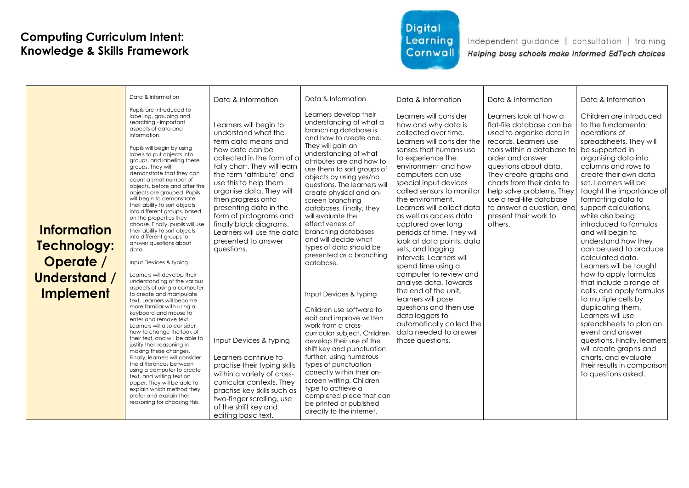## Digital Learning Cornwall

| <b>Information</b><br>Technology:<br>Operate /<br>Understand /<br><b>Implement</b> | Data & information<br>Pupils are introduced to<br>labelling, grouping and<br>searching - important<br>aspects of data and<br>information.<br>Pupils will begin by using<br>labels to put objects into<br>groups, and labelling these<br>aroups. They will<br>demonstrate that they can<br>count a small number of<br>objects, before and after the<br>objects are grouped. Pupils<br>will beain to demonstrate<br>their ability to sort objects<br>into different groups, based<br>on the properties they<br>choose. Finally, pupils will use<br>their ability to sort objects<br>into different groups to<br>answer questions about<br>data.<br>Input Devices & typing<br>Learners will develop their<br>understanding of the various<br>aspects of using a computer<br>to create and manipulate<br>text. Learners will become<br>more familiar with using a<br>keyboard and mouse to<br>enter and remove text.<br>Learners will also consider<br>how to change the look of<br>their text, and will be able to<br>justify their reasoning in<br>making these changes.<br>Finally, learners will consider<br>the differences between<br>using a computer to create<br>text, and writing text on<br>paper. They will be able to<br>explain which method they<br>prefer and explain their<br>reasoning for choosing this. | Data & information<br>Learners will begin to<br>understand what the<br>term data means and<br>how data can be<br>collected in the form of a<br>tally chart. They will learn<br>the term 'attribute' and<br>use this to help them<br>organise data. They will<br>then progress onto<br>presenting data in the<br>form of pictograms and<br>finally block diagrams.<br>Learners will use the data<br>presented to answer<br>questions.<br>Input Devices & typing<br>Learners continue to<br>practise their typing skills<br>within a variety of cross-<br>curricular contexts. They<br>practise key skills such as<br>two-finger scrolling, use<br>of the shift key and<br>editing basic text. | Data & Information<br>Learners develop their<br>understanding of what a<br>branching database is<br>and how to create one.<br>They will gain an<br>understanding of what<br>attributes are and how to<br>use them to sort groups of<br>objects by using yes/no<br>questions. The learners will<br>create physical and on-<br>screen branching<br>databases. Finally, they<br>will evaluate the<br>effectiveness of<br>branching databases<br>and will decide what<br>types of data should be<br>presented as a branching<br>database.<br>Input Devices & typing<br>Children use software to<br>edit and improve written<br>work from a cross-<br>curricular subject. Children<br>develop their use of the<br>shift key and punctuation<br>further, using numerous<br>types of punctuation<br>correctly within their on-<br>screen writing. Children<br>type to achieve a<br>completed piece that can<br>be printed or published<br>directly to the internet. | Data & Information<br>Learners will consider<br>how and why data is<br>collected over time.<br>Learners will consider the<br>senses that humans use<br>to experience the<br>environment and how<br>computers can use<br>special input devices<br>called sensors to monitor<br>the environment.<br>Learners will collect data<br>as well as access data<br>captured over long<br>periods of time. They will<br>look at data points, data<br>sets, and logging<br>intervals. Learners will<br>spend time using a<br>computer to review and<br>analyse data. Towards<br>the end of the unit.<br>learners will pose<br>questions and then use<br>data loggers to<br>automatically collect the<br>data needed to answer<br>those questions. | Data & Information<br>Learners look at how a<br>flat-file database can be<br>used to organise data in<br>records. Learners use<br>tools within a database to<br>order and answer<br>questions about data.<br>They create graphs and<br>charts from their data to<br>help solve problems. They<br>use a real-life database<br>to answer a question, and<br>present their work to<br>others. | Data & Information<br>Children are introduced<br>to the fundamental<br>operations of<br>spreadsheets. They will<br>be supported in<br>organising data into<br>columns and rows to<br>create their own data<br>set. Learners will be<br>taught the importance of<br>formatting data to<br>support calculations,<br>while also being<br>introduced to formulas<br>and will begin to<br>understand how they<br>can be used to produce<br>calculated data.<br>Learners will be taught<br>how to apply formulas<br>that include a range of<br>cells, and apply formulas<br>to multiple cells by<br>duplicating them.<br>Learners will use<br>spreadsheets to plan an<br>event and answer<br>questions. Finally, learners<br>will create graphs and<br>charts, and evaluate<br>their results in comparison<br>to questions asked. |
|------------------------------------------------------------------------------------|-------------------------------------------------------------------------------------------------------------------------------------------------------------------------------------------------------------------------------------------------------------------------------------------------------------------------------------------------------------------------------------------------------------------------------------------------------------------------------------------------------------------------------------------------------------------------------------------------------------------------------------------------------------------------------------------------------------------------------------------------------------------------------------------------------------------------------------------------------------------------------------------------------------------------------------------------------------------------------------------------------------------------------------------------------------------------------------------------------------------------------------------------------------------------------------------------------------------------------------------------------------------------------------------------------------------------|----------------------------------------------------------------------------------------------------------------------------------------------------------------------------------------------------------------------------------------------------------------------------------------------------------------------------------------------------------------------------------------------------------------------------------------------------------------------------------------------------------------------------------------------------------------------------------------------------------------------------------------------------------------------------------------------|--------------------------------------------------------------------------------------------------------------------------------------------------------------------------------------------------------------------------------------------------------------------------------------------------------------------------------------------------------------------------------------------------------------------------------------------------------------------------------------------------------------------------------------------------------------------------------------------------------------------------------------------------------------------------------------------------------------------------------------------------------------------------------------------------------------------------------------------------------------------------------------------------------------------------------------------------------------|----------------------------------------------------------------------------------------------------------------------------------------------------------------------------------------------------------------------------------------------------------------------------------------------------------------------------------------------------------------------------------------------------------------------------------------------------------------------------------------------------------------------------------------------------------------------------------------------------------------------------------------------------------------------------------------------------------------------------------------|--------------------------------------------------------------------------------------------------------------------------------------------------------------------------------------------------------------------------------------------------------------------------------------------------------------------------------------------------------------------------------------------|-----------------------------------------------------------------------------------------------------------------------------------------------------------------------------------------------------------------------------------------------------------------------------------------------------------------------------------------------------------------------------------------------------------------------------------------------------------------------------------------------------------------------------------------------------------------------------------------------------------------------------------------------------------------------------------------------------------------------------------------------------------------------------------------------------------------------------|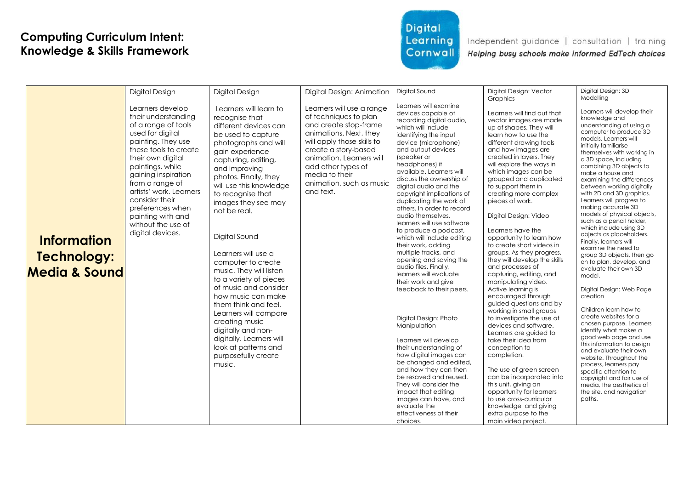# Digital Learning Cornwall

Independent guidance | consultation | training

Helping busy schools make informed EdTech choices

|                                                               | Digital Design                                                                                                                                                                                                                                                                                                                                       | Digital Design                                                                                                                                                                                                                                                                                                                                                                                                                                                                                                                                                                                                                             | Digital Design: Animation                                                                                                                                                                                                                                                | Digital Sound                                                                                                                                                                                                                                                                                                                                                                                                                                                                                                                                                                                                                                                                                                                                                                                                                                                                                                                                                                                         | Digital Design: Vector                                                                                                                                                                                                                                                                                                                                                                                                                                                                                                                                                                                                                                                                                                                                                                                                                                                                                                                                                                                                                           | Digital Design: 3D<br>Modellina                                                                                                                                                                                                                                                                                                                                                                                                                                                                                                                                                                                                                                                                                                                                                                                                                                                                                                                                                                                                                                               |
|---------------------------------------------------------------|------------------------------------------------------------------------------------------------------------------------------------------------------------------------------------------------------------------------------------------------------------------------------------------------------------------------------------------------------|--------------------------------------------------------------------------------------------------------------------------------------------------------------------------------------------------------------------------------------------------------------------------------------------------------------------------------------------------------------------------------------------------------------------------------------------------------------------------------------------------------------------------------------------------------------------------------------------------------------------------------------------|--------------------------------------------------------------------------------------------------------------------------------------------------------------------------------------------------------------------------------------------------------------------------|-------------------------------------------------------------------------------------------------------------------------------------------------------------------------------------------------------------------------------------------------------------------------------------------------------------------------------------------------------------------------------------------------------------------------------------------------------------------------------------------------------------------------------------------------------------------------------------------------------------------------------------------------------------------------------------------------------------------------------------------------------------------------------------------------------------------------------------------------------------------------------------------------------------------------------------------------------------------------------------------------------|--------------------------------------------------------------------------------------------------------------------------------------------------------------------------------------------------------------------------------------------------------------------------------------------------------------------------------------------------------------------------------------------------------------------------------------------------------------------------------------------------------------------------------------------------------------------------------------------------------------------------------------------------------------------------------------------------------------------------------------------------------------------------------------------------------------------------------------------------------------------------------------------------------------------------------------------------------------------------------------------------------------------------------------------------|-------------------------------------------------------------------------------------------------------------------------------------------------------------------------------------------------------------------------------------------------------------------------------------------------------------------------------------------------------------------------------------------------------------------------------------------------------------------------------------------------------------------------------------------------------------------------------------------------------------------------------------------------------------------------------------------------------------------------------------------------------------------------------------------------------------------------------------------------------------------------------------------------------------------------------------------------------------------------------------------------------------------------------------------------------------------------------|
| <b>Information</b><br>Technology:<br><b>Media &amp; Sound</b> | Learners develop<br>their understanding<br>of a range of tools<br>used for digital<br>painting. They use<br>these tools to create<br>their own digital<br>paintings, while<br>gaining inspiration<br>from a range of<br>artists' work. Learners<br>consider their<br>preferences when<br>painting with and<br>without the use of<br>digital devices. | Learners will learn to<br>recognise that<br>different devices can<br>be used to capture<br>photographs and will<br>gain experience<br>capturing, editing,<br>and improving<br>photos. Finally, they<br>will use this knowledge<br>to recognise that<br>images they see may<br>not be real.<br>Digital Sound<br>Learners will use a<br>computer to create<br>music. They will listen<br>to a variety of pieces<br>of music and consider<br>how music can make<br>them think and feel.<br>Learners will compare<br>creating music<br>digitally and non-<br>digitally. Learners will<br>look at patterns and<br>purposefully create<br>music. | Learners will use a range<br>of techniques to plan<br>and create stop-frame<br>animations. Next, they<br>will apply those skills to<br>create a story-based<br>animation. Learners will<br>add other types of<br>media to their<br>animation, such as music<br>and text. | Learners will examine<br>devices capable of<br>recording digital audio,<br>which will include<br>identifying the input<br>device (microphone)<br>and output devices<br>(speaker or<br>headphones) if<br>available. Learners will<br>discuss the ownership of<br>diaital audio and the<br>copyright implications of<br>duplicating the work of<br>others. In order to record<br>audio themselves.<br>learners will use software<br>to produce a podcast,<br>which will include editing<br>their work, adding<br>multiple tracks, and<br>opening and saving the<br>audio files. Finally,<br>learners will evaluate<br>their work and give<br>feedback to their peers.<br>Digital Design: Photo<br>Manipulation<br>Learners will develop<br>their understanding of<br>how digital images can<br>be changed and edited,<br>and how they can then<br>be resaved and reused.<br>They will consider the<br>impact that editing<br>images can have, and<br>evaluate the<br>effectiveness of their<br>choices. | Graphics<br>Learners will find out that<br>vector images are made<br>up of shapes. They will<br>learn how to use the<br>different drawing tools<br>and how images are<br>created in layers. They<br>will explore the ways in<br>which images can be<br>grouped and duplicated<br>to support them in<br>creating more complex<br>pieces of work.<br>Digital Design: Video<br>Learners have the<br>opportunity to learn how<br>to create short videos in<br>groups. As they progress,<br>they will develop the skills<br>and processes of<br>capturing, editing, and<br>manipulating video.<br>Active learning is<br>encouraged through<br>guided questions and by<br>working in small groups<br>to investigate the use of<br>devices and software.<br>Learners are guided to<br>take their idea from<br>conception to<br>completion.<br>The use of green screen<br>can be incorporated into<br>this unit, giving an<br>opportunity for learners<br>to use cross-curricular<br>knowledge and giving<br>extra purpose to the<br>main video project. | Learners will develop their<br>knowledge and<br>understanding of using a<br>computer to produce 3D<br>models. Learners will<br>initially familiarise<br>themselves with working in<br>a 3D space, including<br>combining 3D objects to<br>make a house and<br>examining the differences<br>between working digitally<br>with 2D and 3D graphics.<br>Learners will progress to<br>making accurate 3D<br>models of physical objects,<br>such as a pencil holder,<br>which include using 3D<br>objects as placeholders.<br>Finally, learners will<br>examine the need to<br>group 3D objects, then go<br>on to plan, develop, and<br>evaluate their own 3D<br>model.<br>Digital Design: Web Page<br>creation<br>Children learn how to<br>create websites for a<br>chosen purpose. Learners<br>identify what makes a<br>good web page and use<br>this information to design<br>and evaluate their own<br>website. Throughout the<br>process, learners pay<br>specific attention to<br>copyright and fair use of<br>media, the aesthetics of<br>the site, and navigation<br>paths. |